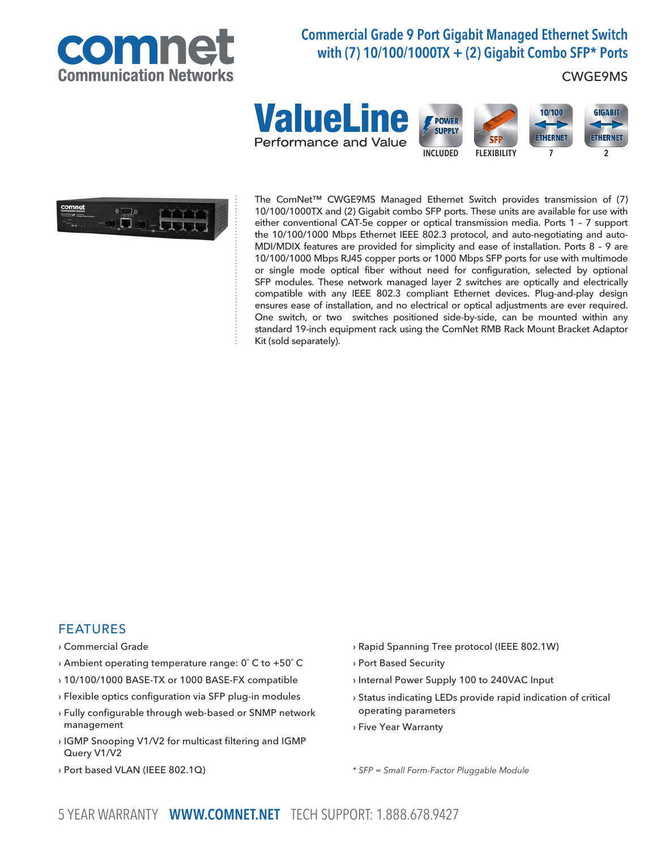

# Commercial Grade 9 Port Gigabit Managed Ethernet Switch with (7) 10/100/1000TX + (2) Gigabit Combo SFP\* Ports

### CWGE9MS





The ComNet™ CWGE9MS Managed Ethernet Switch provides transmission of (7) 10/100/1000TX and (2) Gigabit combo SFP ports. These units are available for use with either conventional CAT-5e copper or optical transmission media. Ports 1 – 7 support the 10/100/1000 Mbps Ethernet IEEE 802.3 protocol, and auto-negotiating and auto-MDI/MDIX features are provided for simplicity and ease of installation. Ports 8 – 9 are 10/100/1000 Mbps RJ45 copper ports or 1000 Mbps SFP ports for use with multimode or single mode optical fiber without need for configuration, selected by optional SFP modules. These network managed layer 2 switches are optically and electrically compatible with any IEEE 802.3 compliant Ethernet devices. Plug-and-play design ensures ease of installation, and no electrical or optical adjustments are ever required. One switch, or two switches positioned side-by-side, can be mounted within any standard 19-inch equipment rack using the ComNet RMB Rack Mount Bracket Adaptor Kit (sold separately).

### FEATURES

- › Commercial Grade
- › Ambient operating temperature range: 0˚ C to +50˚ C
- › 10/100/1000 BASE-TX or 1000 BASE-FX compatible
- › Flexible optics configuration via SFP plug-in modules
- › Fully configurable through web-based or SNMP network management
- › IGMP Snooping V1/V2 for multicast filtering and IGMP Query V1/V2
- › Port based VLAN (IEEE 802.1Q)
- › Rapid Spanning Tree protocol (IEEE 802.1W)
- › Port Based Security
- › Internal Power Supply 100 to 240VAC Input
- › Status indicating LEDs provide rapid indication of critical operating parameters
- › Five Year Warranty

\* SFP = Small Form-Factor Pluggable Module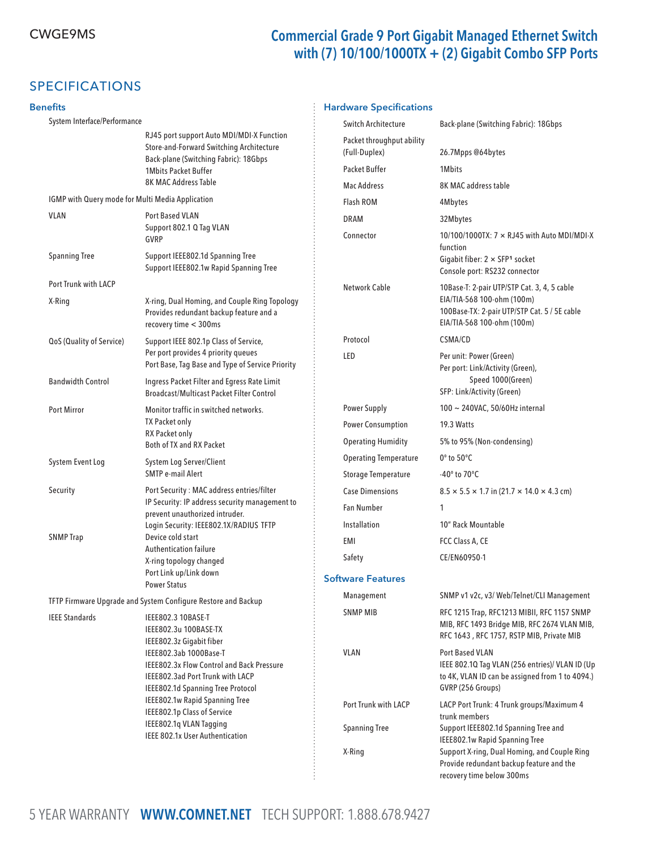### CWGE9MS Commercial Grade 9 Port Gigabit Managed Ethernet Switch with (7) 10/100/1000TX + (2) Gigabit Combo SFP Ports

recovery time below 300ms

# SPECIFICATIONS

### **Benefits**

#### System Interface/Performance RJ45 port support Auto MDI/MDI-X Function Store-and-Forward Switching Architecture Back-plane (Switching Fabric): 18Gbps 1Mbits Packet Buffer 8K MAC Address Table IGMP with Query mode for Multi Media Application VLAN Port Based VLAN Support 802.1 Q Tag VLAN GVRP Spanning Tree Support IEEE802.1d Spanning Tree Support IEEE802.1w Rapid Spanning Tree Port Trunk with LACP X-Ring X-ring, Dual Homing, and Couple Ring Topology Provides redundant backup feature and a recovery time < 300ms QoS (Quality of Service) Support IEEE 802.1p Class of Service, Per port provides 4 priority queues Port Base, Tag Base and Type of Service Priority Bandwidth Control Ingress Packet Filter and Egress Rate Limit Broadcast/Multicast Packet Filter Control Port Mirror **Monitor traffic in switched networks.**  TX Packet only RX Packet only Both of TX and RX Packet System Event Log System Log Server/Client SMTP e-mail Alert Security Port Security : MAC address entries/filter IP Security: IP address security management to prevent unauthorized intruder. Login Security: IEEE802.1X/RADIUS TFTP SNMP Trap Device cold start Authentication failure X-ring topology changed Port Link up/Link down Power Status TFTP Firmware Upgrade and System Configure Restore and Backup IEEE Standards IEEE802.3 10BASE-T IEEE802.3u 100BASE-TX IEEE802.3z Gigabit fiber IEEE802.3ab 1000Base-T IEEE802.3x Flow Control and Back Pressure IEEE802.3ad Port Trunk with LACP IEEE802.1d Spanning Tree Protocol IEEE802.1w Rapid Spanning Tree IEEE802.1p Class of Service IEEE802.1q VLAN Tagging IEEE 802.1x User Authentication Hardware Specifications Switch Architecture Back-plane (Switching Fabric): 18Gbps Packet throughput ability (Full-Duplex) 26.7Mpps @64bytes Packet Buffer 1Mbits Mac Address 8K MAC address table Flash ROM 4Mbytes DRAM 32Mbytes Connector 10/100/1000TX: 7 × RJ45 with Auto MDI/MDI-X function Gigabit fiber:  $2 \times$  SFP<sup>1</sup> socket Console port: RS232 connector Network Cable 10Base-T: 2-pair UTP/STP Cat. 3, 4, 5 cable EIA/TIA-568 100-ohm (100m) 100Base-TX: 2-pair UTP/STP Cat. 5 / 5E cable EIA/TIA-568 100-ohm (100m) Protocol CSMA/CD LED Per unit: Power (Green) Per port: Link/Activity (Green), Speed 1000(Green) SFP: Link/Activity (Green) Power Supply 100 ~ 240VAC, 50/60Hz internal Power Consumption 19.3 Watts Operating Humidity 5% to 95% (Non-condensing) Operating Temperature 0° to 50°C Storage Temperature -40° to 70°C Case Dimensions 8.5  $\times$  5.5  $\times$  1.7 in (21.7  $\times$  14.0  $\times$  4.3 cm) Fan Number 1 Installation 10" Rack Mountable EMI FCC Class A, CE Safety CE/EN60950-1 Software Features Management SNMP v1 v2c, v3/ Web/Telnet/CLI Management SNMP MIB RFC 1215 Trap, RFC1213 MIBII, RFC 1157 SNMP MIB, RFC 1493 Bridge MIB, RFC 2674 VLAN MIB, RFC 1643 , RFC 1757, RSTP MIB, Private MIB VLAN Port Based VLAN IEEE 802.1Q Tag VLAN (256 entries)/ VLAN ID (Up to 4K, VLAN ID can be assigned from 1 to 4094.) GVRP (256 Groups) Port Trunk with LACP LACP Port Trunk: 4 Trunk groups/Maximum 4 trunk members Spanning Tree Support IEEE802.1d Spanning Tree and IEEE802.1w Rapid Spanning Tree X-Ring Support X-ring, Dual Homing, and Couple Ring Provide redundant backup feature and the